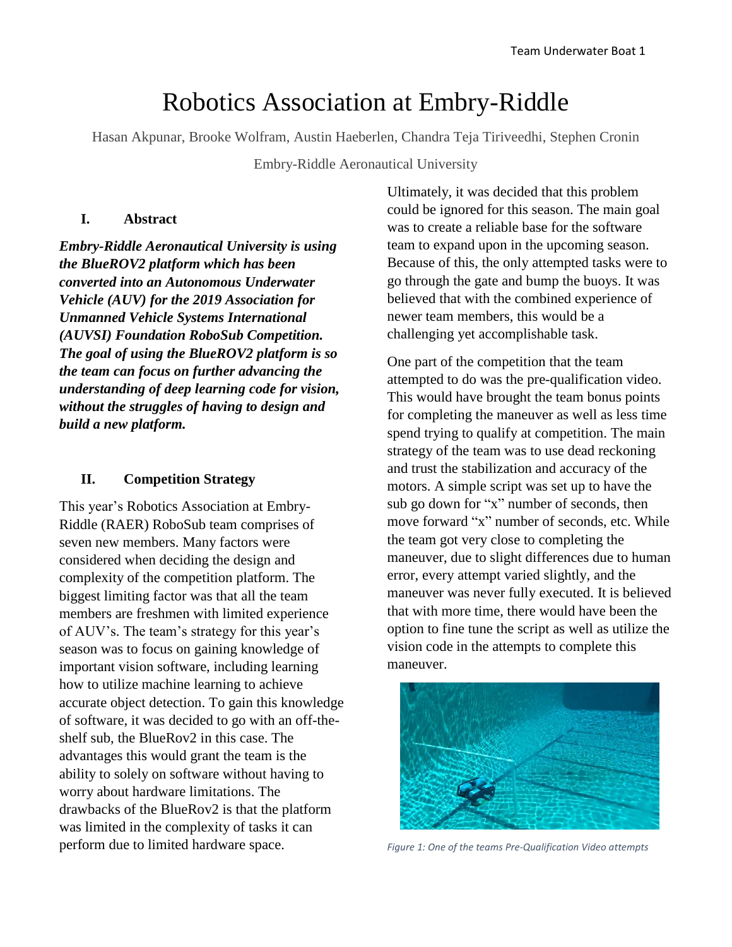# Robotics Association at Embry-Riddle

Hasan Akpunar, Brooke Wolfram, Austin Haeberlen, Chandra Teja Tiriveedhi, Stephen Cronin

Embry-Riddle Aeronautical University

#### **I. Abstract**

*Embry-Riddle Aeronautical University is using the BlueROV2 platform which has been converted into an Autonomous Underwater Vehicle (AUV) for the 2019 Association for Unmanned Vehicle Systems International (AUVSI) Foundation RoboSub Competition. The goal of using the BlueROV2 platform is so the team can focus on further advancing the understanding of deep learning code for vision, without the struggles of having to design and build a new platform.*

#### **II. Competition Strategy**

This year's Robotics Association at Embry-Riddle (RAER) RoboSub team comprises of seven new members. Many factors were considered when deciding the design and complexity of the competition platform. The biggest limiting factor was that all the team members are freshmen with limited experience of AUV's. The team's strategy for this year's season was to focus on gaining knowledge of important vision software, including learning how to utilize machine learning to achieve accurate object detection. To gain this knowledge of software, it was decided to go with an off-theshelf sub, the BlueRov2 in this case. The advantages this would grant the team is the ability to solely on software without having to worry about hardware limitations. The drawbacks of the BlueRov2 is that the platform was limited in the complexity of tasks it can perform due to limited hardware space.

Ultimately, it was decided that this problem could be ignored for this season. The main goal was to create a reliable base for the software team to expand upon in the upcoming season. Because of this, the only attempted tasks were to go through the gate and bump the buoys. It was believed that with the combined experience of newer team members, this would be a challenging yet accomplishable task.

One part of the competition that the team attempted to do was the pre-qualification video. This would have brought the team bonus points for completing the maneuver as well as less time spend trying to qualify at competition. The main strategy of the team was to use dead reckoning and trust the stabilization and accuracy of the motors. A simple script was set up to have the sub go down for "x" number of seconds, then move forward "x" number of seconds, etc. While the team got very close to completing the maneuver, due to slight differences due to human error, every attempt varied slightly, and the maneuver was never fully executed. It is believed that with more time, there would have been the option to fine tune the script as well as utilize the vision code in the attempts to complete this maneuver.



*Figure 1: One of the teams Pre-Qualification Video attempts*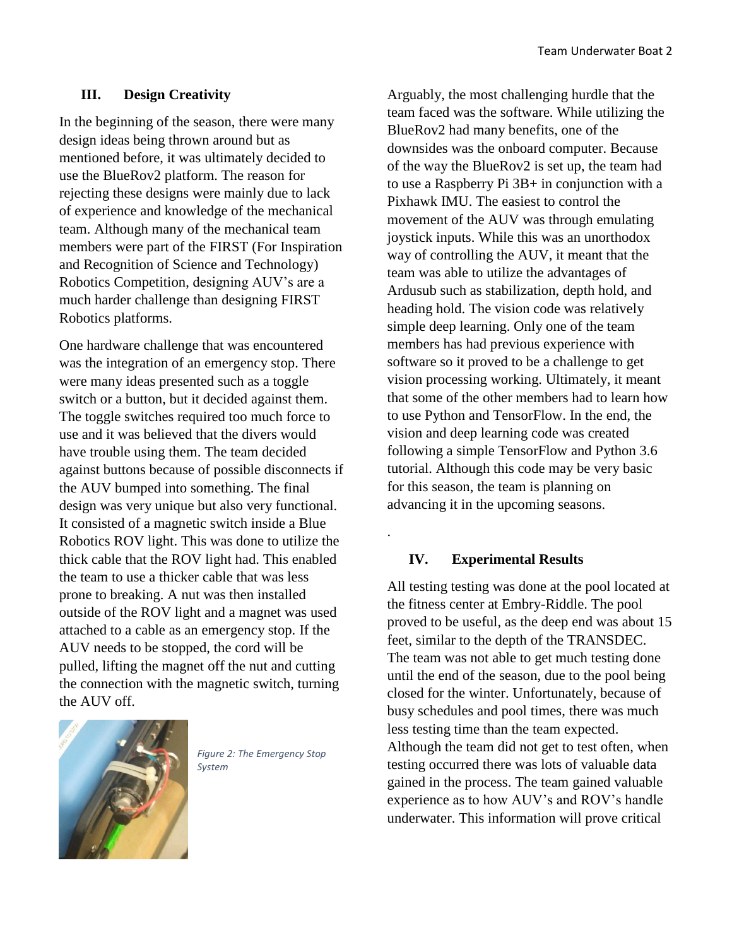#### **III. Design Creativity**

In the beginning of the season, there were many design ideas being thrown around but as mentioned before, it was ultimately decided to use the BlueRov2 platform. The reason for rejecting these designs were mainly due to lack of experience and knowledge of the mechanical team. Although many of the mechanical team members were part of the FIRST (For Inspiration and Recognition of Science and Technology) Robotics Competition, designing AUV's are a much harder challenge than designing FIRST Robotics platforms.

One hardware challenge that was encountered was the integration of an emergency stop. There were many ideas presented such as a toggle switch or a button, but it decided against them. The toggle switches required too much force to use and it was believed that the divers would have trouble using them. The team decided against buttons because of possible disconnects if the AUV bumped into something. The final design was very unique but also very functional. It consisted of a magnetic switch inside a Blue Robotics ROV light. This was done to utilize the thick cable that the ROV light had. This enabled the team to use a thicker cable that was less prone to breaking. A nut was then installed outside of the ROV light and a magnet was used attached to a cable as an emergency stop. If the AUV needs to be stopped, the cord will be pulled, lifting the magnet off the nut and cutting the connection with the magnetic switch, turning the AUV off.



*Figure 2: The Emergency Stop System*

Arguably, the most challenging hurdle that the team faced was the software. While utilizing the BlueRov2 had many benefits, one of the downsides was the onboard computer. Because of the way the BlueRov2 is set up, the team had to use a Raspberry Pi 3B+ in conjunction with a Pixhawk IMU. The easiest to control the movement of the AUV was through emulating joystick inputs. While this was an unorthodox way of controlling the AUV, it meant that the team was able to utilize the advantages of Ardusub such as stabilization, depth hold, and heading hold. The vision code was relatively simple deep learning. Only one of the team members has had previous experience with software so it proved to be a challenge to get vision processing working. Ultimately, it meant that some of the other members had to learn how to use Python and TensorFlow. In the end, the vision and deep learning code was created following a simple TensorFlow and Python 3.6 tutorial. Although this code may be very basic for this season, the team is planning on advancing it in the upcoming seasons.

#### **IV. Experimental Results**

.

All testing testing was done at the pool located at the fitness center at Embry-Riddle. The pool proved to be useful, as the deep end was about 15 feet, similar to the depth of the TRANSDEC. The team was not able to get much testing done until the end of the season, due to the pool being closed for the winter. Unfortunately, because of busy schedules and pool times, there was much less testing time than the team expected. Although the team did not get to test often, when testing occurred there was lots of valuable data gained in the process. The team gained valuable experience as to how AUV's and ROV's handle underwater. This information will prove critical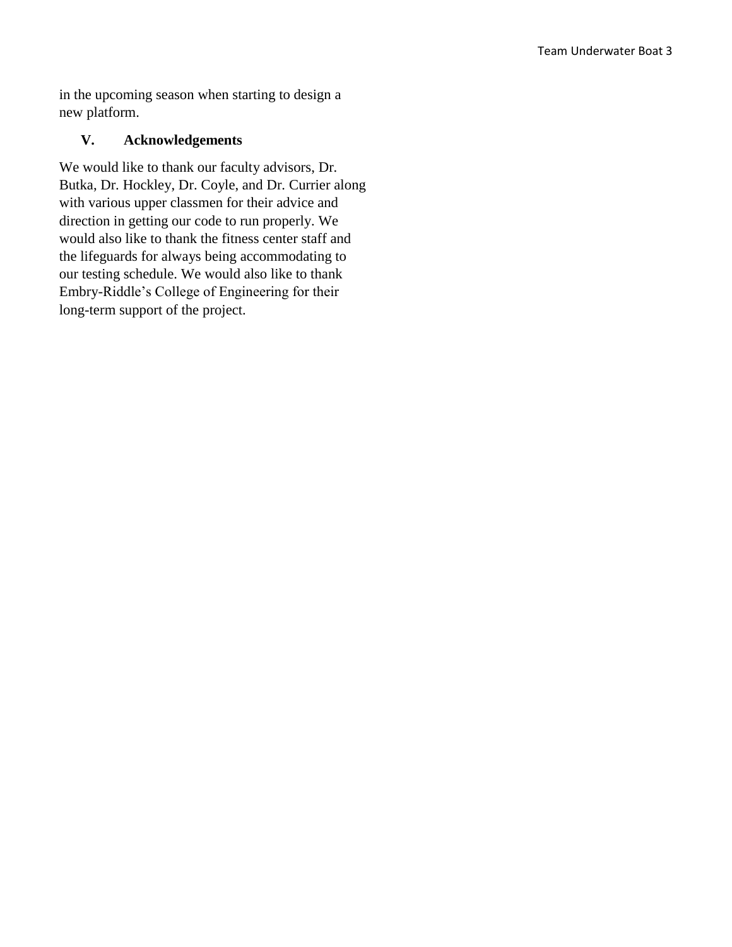in the upcoming season when starting to design a new platform.

#### **V. Acknowledgements**

We would like to thank our faculty advisors, Dr. Butka, Dr. Hockley, Dr. Coyle, and Dr. Currier along with various upper classmen for their advice and direction in getting our code to run properly. We would also like to thank the fitness center staff and the lifeguards for always being accommodating to our testing schedule. We would also like to thank Embry-Riddle's College of Engineering for their long-term support of the project.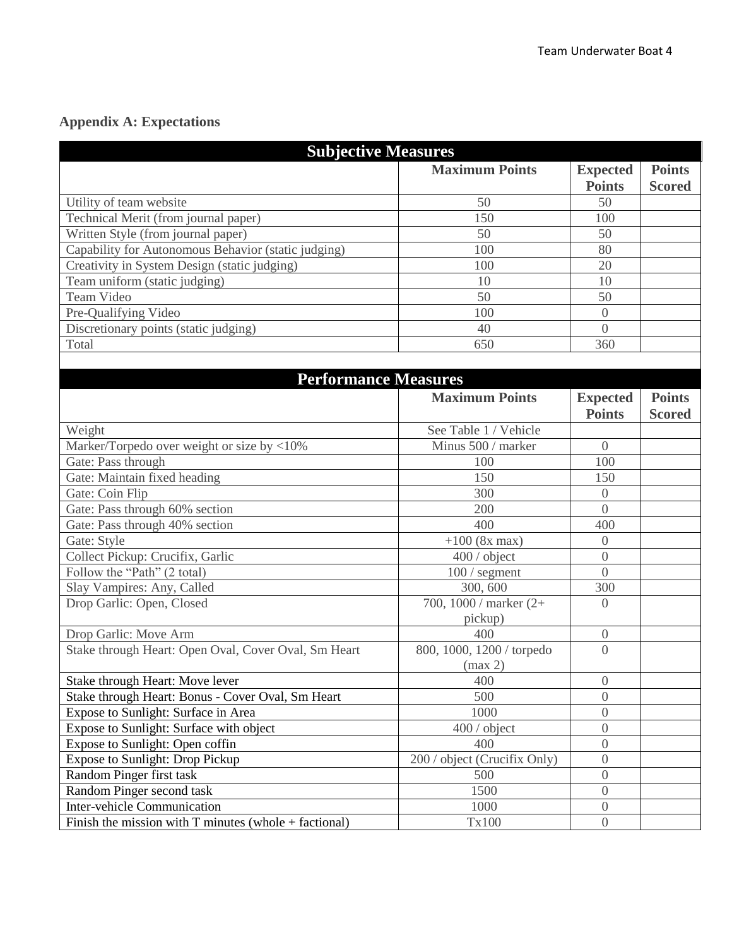## **Appendix A: Expectations**

| <b>Subjective Measures</b>                              |                                      |                                  |                                |  |  |  |
|---------------------------------------------------------|--------------------------------------|----------------------------------|--------------------------------|--|--|--|
|                                                         | <b>Maximum Points</b>                | <b>Expected</b><br><b>Points</b> | <b>Points</b><br><b>Scored</b> |  |  |  |
| Utility of team website                                 | 50                                   | 50                               |                                |  |  |  |
| Technical Merit (from journal paper)                    | 150                                  | 100                              |                                |  |  |  |
| Written Style (from journal paper)                      | 50                                   | 50                               |                                |  |  |  |
| Capability for Autonomous Behavior (static judging)     | 100                                  | 80                               |                                |  |  |  |
| Creativity in System Design (static judging)            | 100                                  | 20                               |                                |  |  |  |
| Team uniform (static judging)                           | 10                                   | 10                               |                                |  |  |  |
| Team Video                                              | 50                                   | 50                               |                                |  |  |  |
| Pre-Qualifying Video                                    | 100                                  | $\overline{0}$                   |                                |  |  |  |
| Discretionary points (static judging)                   | 40                                   | $\theta$                         |                                |  |  |  |
| Total                                                   | 650                                  | 360                              |                                |  |  |  |
|                                                         |                                      |                                  |                                |  |  |  |
| <b>Performance Measures</b>                             |                                      |                                  |                                |  |  |  |
|                                                         | <b>Maximum Points</b>                | <b>Expected</b><br><b>Points</b> | <b>Points</b><br><b>Scored</b> |  |  |  |
| Weight                                                  | See Table 1 / Vehicle                |                                  |                                |  |  |  |
| Marker/Torpedo over weight or size by <10%              | Minus 500 / marker                   | $\overline{0}$                   |                                |  |  |  |
| Gate: Pass through                                      | 100                                  | 100                              |                                |  |  |  |
| Gate: Maintain fixed heading                            | 150                                  | 150                              |                                |  |  |  |
| Gate: Coin Flip                                         | 300                                  | $\overline{0}$                   |                                |  |  |  |
| Gate: Pass through 60% section                          | 200                                  | $\overline{0}$                   |                                |  |  |  |
| Gate: Pass through 40% section                          | 400                                  | 400                              |                                |  |  |  |
| Gate: Style                                             | $+100$ (8x max)                      | $\overline{0}$                   |                                |  |  |  |
| Collect Pickup: Crucifix, Garlic                        | 400 / object                         | $\overline{0}$                   |                                |  |  |  |
| Follow the "Path" (2 total)                             | $100/$ segment                       | $\overline{0}$                   |                                |  |  |  |
| Slay Vampires: Any, Called                              | 300, 600                             | 300                              |                                |  |  |  |
| Drop Garlic: Open, Closed                               | 700, 1000 / marker $(2+)$            | $\overline{0}$                   |                                |  |  |  |
|                                                         | pickup)                              |                                  |                                |  |  |  |
| Drop Garlic: Move Arm                                   | 400                                  | $\boldsymbol{0}$                 |                                |  |  |  |
| Stake through Heart: Open Oval, Cover Oval, Sm Heart    | 800, 1000, 1200 / torpedo<br>(max 2) | $\overline{0}$                   |                                |  |  |  |
| Stake through Heart: Move lever                         | 400                                  | $\boldsymbol{0}$                 |                                |  |  |  |
| Stake through Heart: Bonus - Cover Oval, Sm Heart       | 500                                  | $\overline{0}$                   |                                |  |  |  |
| Expose to Sunlight: Surface in Area                     | 1000                                 | $\overline{0}$                   |                                |  |  |  |
| Expose to Sunlight: Surface with object                 | 400 / object                         | $\boldsymbol{0}$                 |                                |  |  |  |
| Expose to Sunlight: Open coffin                         | 400                                  | $\overline{0}$                   |                                |  |  |  |
| <b>Expose to Sunlight: Drop Pickup</b>                  | 200 / object (Crucifix Only)         | $\boldsymbol{0}$                 |                                |  |  |  |
| Random Pinger first task                                | 500                                  | $\overline{0}$                   |                                |  |  |  |
| Random Pinger second task                               | 1500                                 | $\overline{0}$                   |                                |  |  |  |
| <b>Inter-vehicle Communication</b>                      | 1000                                 | $\boldsymbol{0}$                 |                                |  |  |  |
| Finish the mission with $T$ minutes (whole + factional) | Tx100                                | $\overline{0}$                   |                                |  |  |  |